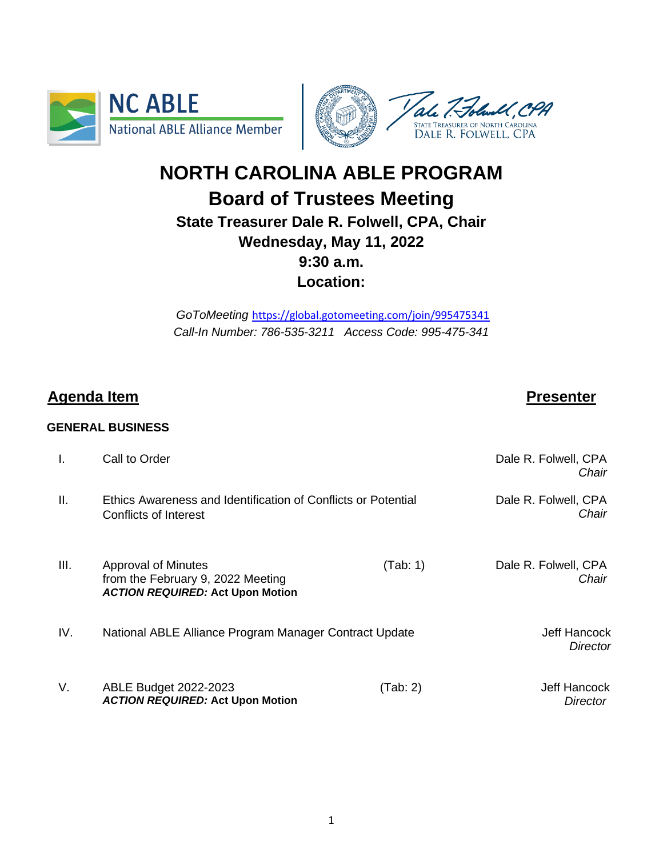



# **NORTH CAROLINA ABLE PROGRAM Board of Trustees Meeting State Treasurer Dale R. Folwell, CPA, Chair Wednesday, May 11, 2022 9:30 a.m. Location:**

*GoToMeeting* <https://global.gotomeeting.com/join/995475341> *Call-In Number: 786-535-3211 Access Code: 995-475-341*

# **Agenda Item Presenter**

# **GENERAL BUSINESS**

| Ι.              | Call to Order                                                                                       |          | Dale R. Folwell, CPA<br>Chair          |
|-----------------|-----------------------------------------------------------------------------------------------------|----------|----------------------------------------|
| $\mathbf{II}$ . | Ethics Awareness and Identification of Conflicts or Potential<br>Conflicts of Interest              |          | Dale R. Folwell, CPA<br>Chair          |
| III.            | Approval of Minutes<br>from the February 9, 2022 Meeting<br><b>ACTION REQUIRED: Act Upon Motion</b> | (Tab: 1) | Dale R. Folwell, CPA<br>Chair          |
| IV.             | National ABLE Alliance Program Manager Contract Update                                              |          | <b>Jeff Hancock</b><br><b>Director</b> |
| V.              | ABLE Budget 2022-2023<br><b>ACTION REQUIRED: Act Upon Motion</b>                                    | (Tab:2)  | <b>Jeff Hancock</b><br>Director        |